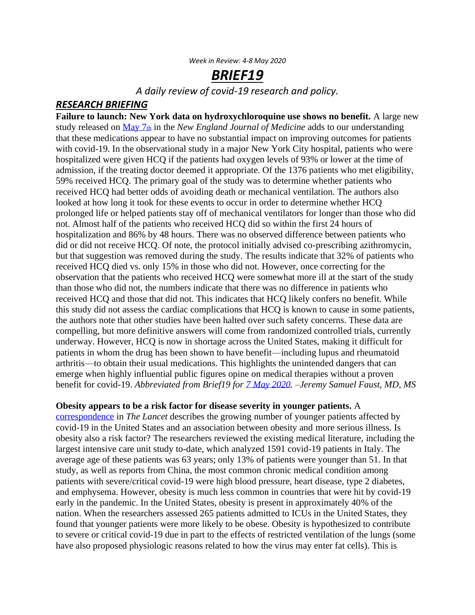## *BRIEF19*

*A daily review of covid-19 research and policy.*

## *RESEARCH BRIEFING*

**Failure to launch: New York data on hydroxychloroquine use shows no benefit.** A large new study released on [May 7](https://cdf.nejm.org/services/GetOnlineFirstPDF.aspx?DOI=NEJMoa2012410)th in the *New England Journal of Medicine* adds to our understanding that these medications appear to have no substantial impact on improving outcomes for patients with covid-19. In the observational study in a major New York City hospital, patients who were hospitalized were given HCQ if the patients had oxygen levels of 93% or lower at the time of admission, if the treating doctor deemed it appropriate. Of the 1376 patients who met eligibility, 59% received HCQ. The primary goal of the study was to determine whether patients who received HCQ had better odds of avoiding death or mechanical ventilation. The authors also looked at how long it took for these events to occur in order to determine whether HCQ prolonged life or helped patients stay off of mechanical ventilators for longer than those who did not. Almost half of the patients who received HCQ did so within the first 24 hours of hospitalization and 86% by 48 hours. There was no observed difference between patients who did or did not receive HCQ. Of note, the protocol initially advised co-prescribing azithromycin, but that suggestion was removed during the study. The results indicate that 32% of patients who received HCQ died vs. only 15% in those who did not. However, once correcting for the observation that the patients who received HCQ were somewhat more ill at the start of the study than those who did not, the numbers indicate that there was no difference in patients who received HCQ and those that did not. This indicates that HCQ likely confers no benefit. While this study did not assess the cardiac complications that HCQ is known to cause in some patients, the authors note that other studies have been halted over such safety concerns. These data are compelling, but more definitive answers will come from randomized controlled trials, currently underway. However, HCQ is now in shortage across the United States, making it difficult for patients in whom the drug has been shown to have benefit—including lupus and rheumatoid arthritis—to obtain their usual medications. This highlights the unintended dangers that can emerge when highly influential public figures opine on medical therapies without a proven benefit for covid-19. *Abbreviated from Brief19 for [7 May 2020.](https://www.brief19.com/2020/05/07/brief)* –*Jeremy Samuel Faust, MD, MS* 

## **Obesity appears to be a risk factor for disease severity in younger patients.** A

[correspondence](https://www.thelancet.com/journals/lancet/article/PIIS0140-6736(20)31024-2/fulltext) in *The Lancet* describes the growing number of younger patients affected by covid-19 in the United States and an association between obesity and more serious illness. Is obesity also a risk factor? The researchers reviewed the existing medical literature, including the largest intensive care unit study to-date, which analyzed 1591 covid-19 patients in Italy. The average age of these patients was 63 years; only 13% of patients were younger than 51. In that study, as well as reports from China, the most common chronic medical condition among patients with severe/critical covid-19 were high blood pressure, heart disease, type 2 diabetes, and emphysema. However, obesity is much less common in countries that were hit by covid-19 early in the pandemic. In the United States, obesity is present in approximately 40% of the nation. When the researchers assessed 265 patients admitted to ICUs in the United States, they found that younger patients were more likely to be obese. Obesity is hypothesized to contribute to severe or critical covid-19 due in part to the effects of restricted ventilation of the lungs (some have also proposed physiologic reasons related to how the virus may enter fat cells). This is